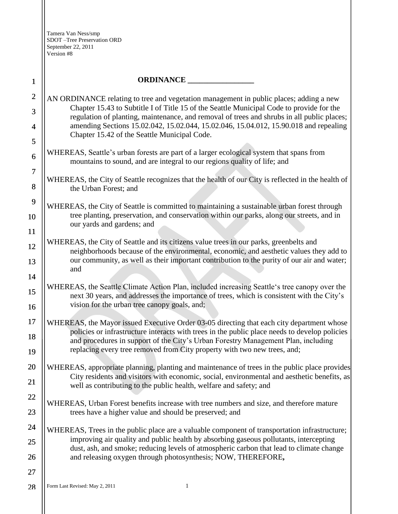| $\mathbf{1}$        | <b>ORDINANCE</b>                                                                                                                                                                           |  |
|---------------------|--------------------------------------------------------------------------------------------------------------------------------------------------------------------------------------------|--|
| $\overline{2}$      | AN ORDINANCE relating to tree and vegetation management in public places; adding a new                                                                                                     |  |
| 3                   | Chapter 15.43 to Subtitle I of Title 15 of the Seattle Municipal Code to provide for the<br>regulation of planting, maintenance, and removal of trees and shrubs in all public places;     |  |
| 4                   | amending Sections 15.02.042, 15.02.044, 15.02.046, 15.04.012, 15.90.018 and repealing                                                                                                      |  |
| 5                   | Chapter 15.42 of the Seattle Municipal Code.                                                                                                                                               |  |
| 6                   | WHEREAS, Seattle's urban forests are part of a larger ecological system that spans from<br>mountains to sound, and are integral to our regions quality of life; and                        |  |
| $\overline{7}$<br>8 | WHEREAS, the City of Seattle recognizes that the health of our City is reflected in the health of<br>the Urban Forest; and                                                                 |  |
| 9                   | WHEREAS, the City of Seattle is committed to maintaining a sustainable urban forest through                                                                                                |  |
| 10<br>11            | tree planting, preservation, and conservation within our parks, along our streets, and in<br>our yards and gardens; and                                                                    |  |
|                     | WHEREAS, the City of Seattle and its citizens value trees in our parks, greenbelts and                                                                                                     |  |
| 12                  | neighborhoods because of the environmental, economic, and aesthetic values they add to<br>our community, as well as their important contribution to the purity of our air and water;       |  |
| 13                  | and                                                                                                                                                                                        |  |
| 14                  | WHEREAS, the Seattle Climate Action Plan, included increasing Seattle's tree canopy over the                                                                                               |  |
| 15                  | next 30 years, and addresses the importance of trees, which is consistent with the City's                                                                                                  |  |
| 16                  | vision for the urban tree canopy goals, and;                                                                                                                                               |  |
| 17<br>18            | WHEREAS, the Mayor issued Executive Order 03-05 directing that each city department whose<br>policies or infrastructure interacts with trees in the public place needs to develop policies |  |
| 19                  | and procedures in support of the City's Urban Forestry Management Plan, including<br>replacing every tree removed from City property with two new trees, and;                              |  |
| 20                  | WHEREAS, appropriate planning, planting and maintenance of trees in the public place provides                                                                                              |  |
| 21                  | City residents and visitors with economic, social, environmental and aesthetic benefits, as<br>well as contributing to the public health, welfare and safety; and                          |  |
| 22                  |                                                                                                                                                                                            |  |
| 23                  | WHEREAS, Urban Forest benefits increase with tree numbers and size, and therefore mature<br>trees have a higher value and should be preserved; and                                         |  |
| 24                  | WHEREAS, Trees in the public place are a valuable component of transportation infrastructure;                                                                                              |  |
| 25                  | improving air quality and public health by absorbing gaseous pollutants, intercepting                                                                                                      |  |
| 26                  | dust, ash, and smoke; reducing levels of atmospheric carbon that lead to climate change<br>and releasing oxygen through photosynthesis; NOW, THEREFORE,                                    |  |
| 27                  |                                                                                                                                                                                            |  |
| 28                  | Form Last Revised: May 2, 2011<br>1                                                                                                                                                        |  |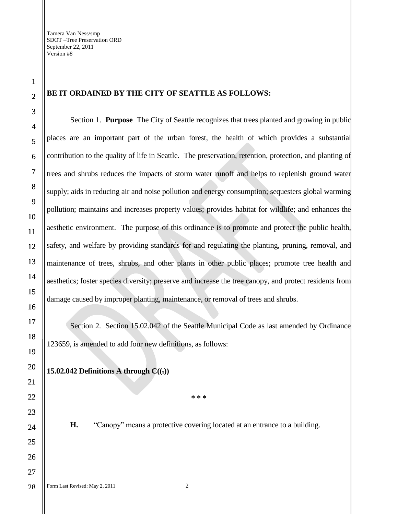28

## **BE IT ORDAINED BY THE CITY OF SEATTLE AS FOLLOWS:**

Section 1. **Purpose** The City of Seattle recognizes that trees planted and growing in public places are an important part of the urban forest, the health of which provides a substantial contribution to the quality of life in Seattle. The preservation, retention, protection, and planting of trees and shrubs reduces the impacts of storm water runoff and helps to replenish ground water supply; aids in reducing air and noise pollution and energy consumption; sequesters global warming pollution; maintains and increases property values; provides habitat for wildlife; and enhances the aesthetic environment. The purpose of this ordinance is to promote and protect the public health, safety, and welfare by providing standards for and regulating the planting, pruning, removal, and maintenance of trees, shrubs, and other plants in other public places; promote tree health and aesthetics; foster species diversity; preserve and increase the tree canopy, and protect residents from damage caused by improper planting, maintenance, or removal of trees and shrubs.

Section 2. Section 15.02.042 of the Seattle Municipal Code as last amended by Ordinance 123659, is amended to add four new definitions, as follows:

# **15.02.042 Definitions A through C((.))**

**\* \* \*** 

**H.** "Canopy" means a protective covering located at an entrance to a building.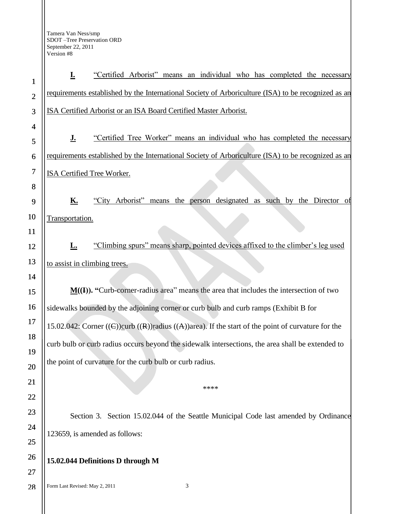Form Last Revised: May 2, 2011 3 1 2 3 4 5 6 7 8 9 10 11 12 13 14 15 16 17 18 19 20 21 22 23 24 25 26 **I.** "Certified Arborist" means an individual who has completed the necessary requirements established by the International Society of Arboriculture (ISA) to be recognized as an ISA Certified Arborist or an ISA Board Certified Master Arborist. **J.** "Certified Tree Worker" means an individual who has completed the necessary requirements established by the International Society of Arboriculture (ISA) to be recognized as an ISA Certified Tree Worker. **K.** "City Arborist" means the person designated as such by the Director of Transportation. **L.** "Climbing spurs" means sharp, pointed devices affixed to the climber's leg used to assist in climbing trees. **M((I)). "**Curb-corner-radius area" means the area that includes the intersection of two sidewalks bounded by the adjoining corner or curb bulb and curb ramps (Exhibit B for 15.02.042: Corner  $((\epsilon))$ curb  $((\epsilon))$ radius  $((\epsilon))$ area). If the start of the point of curvature for the curb bulb or curb radius occurs beyond the sidewalk intersections, the area shall be extended to the point of curvature for the curb bulb or curb radius. \*\*\*\* Section 3. Section 15.02.044 of the Seattle Municipal Code last amended by Ordinance 123659, is amended as follows: **15.02.044 Definitions D through M**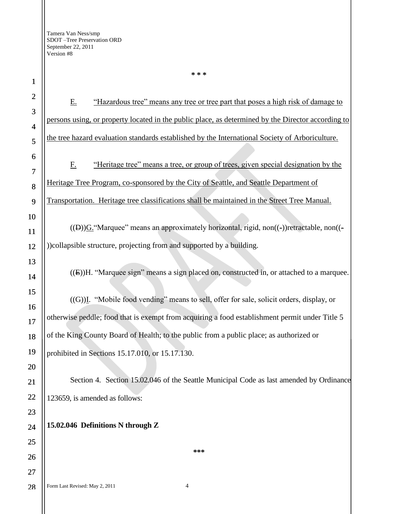Form Last Revised: May 2, 2011 4 1 2 3 4 5 6 7 8 9 10 11 12 13 14 15 16 17 18 19 20 21 22 23 24 25 26 27 28 E. "Hazardous tree" means any tree or tree part that poses a high risk of damage to persons using, or property located in the public place, as determined by the Director according to the tree hazard evaluation standards established by the International Society of Arboriculture. F. "Heritage tree" means a tree, or group of trees, given special designation by the Heritage Tree Program, co-sponsored by the City of Seattle, and Seattle Department of Transportation. Heritage tree classifications shall be maintained in the Street Tree Manual.  $((D))$ G. "Marquee" means an approximately horizontal, rigid, non $((-)$ )retractable, non $((-$ ))collapsible structure, projecting from and supported by a building. ((E))H. "Marquee sign" means a sign placed on, constructed in, or attached to a marquee. ((G))I. "Mobile food vending" means to sell, offer for sale, solicit orders, display, or otherwise peddle; food that is exempt from acquiring a food establishment permit under Title 5 of the King County Board of Health; to the public from a public place; as authorized or prohibited in Sections 15.17.010, or 15.17.130. Section 4. Section 15.02.046 of the Seattle Municipal Code as last amended by Ordinance 123659, is amended as follows: **15.02.046 Definitions N through Z \*\*\***

**\* \* \***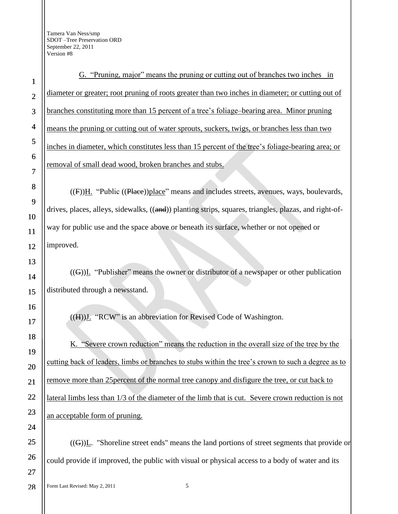G. "Pruning, major" means the pruning or cutting out of branches two inches in diameter or greater; root pruning of roots greater than two inches in diameter; or cutting out of branches constituting more than 15 percent of a tree's foliage-bearing area. Minor pruning means the pruning or cutting out of water sprouts, suckers, twigs, or branches less than two inches in diameter, which constitutes less than 15 percent of the tree's foliage-bearing area; or removal of small dead wood, broken branches and stubs.

 $((F))H$ . "Public  $((Place))$ place" means and includes streets, avenues, ways, boulevards, drives, places, alleys, sidewalks, ((and)) planting strips, squares, triangles, plazas, and right-ofway for public use and the space above or beneath its surface, whether or not opened or

 $((G))$ I. "Publisher" means the owner or distributor of a newspaper or other publication distributed through a newsstand.

 $((H))$ . "RCW" is an abbreviation for Revised Code of Washington.

K. "Severe crown reduction" means the reduction in the overall size of the tree by the cutting back of leaders, limbs or branches to stubs within the tree"s crown to such a degree as to remove more than 25percent of the normal tree canopy and disfigure the tree, or cut back to lateral limbs less than 1/3 of the diameter of the limb that is cut. Severe crown reduction is not an acceptable form of pruning.

 $((G))$ L. "Shoreline street ends" means the land portions of street segments that provide or could provide if improved, the public with visual or physical access to a body of water and its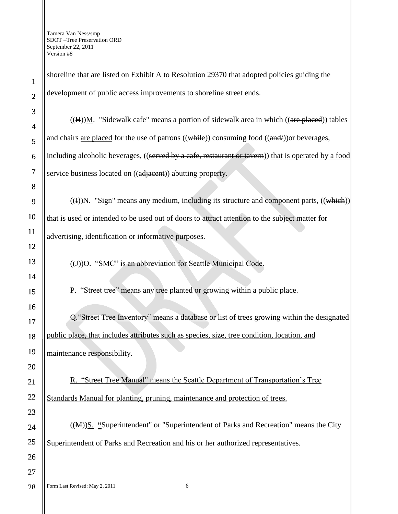shoreline that are listed on Exhibit A to Resolution 29370 that adopted policies guiding the development of public access improvements to shoreline street ends.  $((H))$ M. "Sidewalk cafe" means a portion of sidewalk area in which  $((\text{are placed}))$  tables and chairs <u>are placed</u> for the use of patrons ((while)) consuming food ((and/)) or beverages, including alcoholic beverages, ((served by a cafe, restaurant or tavern)) that is operated by a food service business located on ((adjacent)) abutting property.  $((I))$ N. "Sign" means any medium, including its structure and component parts,  $((which))$ that is used or intended to be used out of doors to attract attention to the subject matter for advertising, identification or informative purposes.  $((J))$ O. "SMC" is an abbreviation for Seattle Municipal Code. P."Street tree" means any tree planted or growing within a public place. Q."Street Tree Inventory" means a database or list of trees growing within the designated public place, that includes attributes such as species, size, tree condition, location, and maintenance responsibility. R. "Street Tree Manual" means the Seattle Department of Transportation"s Tree Standards Manual for planting, pruning, maintenance and protection of trees. ((M))S. **"**Superintendent" or "Superintendent of Parks and Recreation" means the City Superintendent of Parks and Recreation and his or her authorized representatives.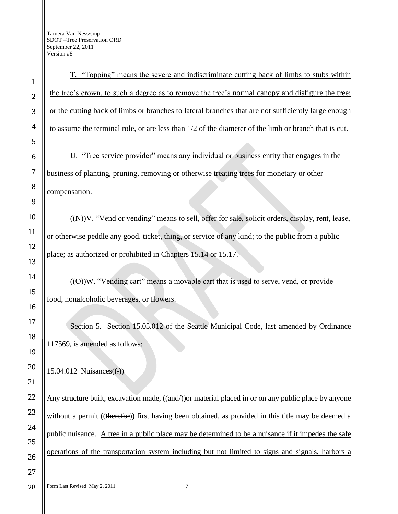Form Last Revised: May 2, 2011 7 1 2 3 4 5 6 7 8 9 10 11 12 13 14 15 16 17 18 19 20 21 22 23 24 25 26 27 28 T. "Topping" means the severe and indiscriminate cutting back of limbs to stubs within the tree's crown, to such a degree as to remove the tree's normal canopy and disfigure the tree; or the cutting back of limbs or branches to lateral branches that are not sufficiently large enough to assume the terminal role, or are less than 1/2 of the diameter of the limb or branch that is cut. compensation.  $15.04.012$  Nuisances $((.)$ Any structure built, excavation made, ((and/)) or material placed in or on any public place by anyone

U. "Tree service provider" means any individual or business entity that engages in the business of planting, pruning, removing or otherwise treating trees for monetary or other

((N))V. "Vend or vending" means to sell, offer for sale, solicit orders, display, rent, lease, or otherwise peddle any good, ticket, thing, or service of any kind; to the public from a public place; as authorized or prohibited in Chapters 15.14 or 15.17.

 $((\Theta))W$ . "Vending cart" means a movable cart that is used to serve, vend, or provide food, nonalcoholic beverages, or flowers.

Section 5. Section 15.05.012 of the Seattle Municipal Code, last amended by Ordinance 117569, is amended as follows:

without a permit ((therefor)) first having been obtained, as provided in this title may be deemed a public nuisance. A tree in a public place may be determined to be a nuisance if it impedes the safe operations of the transportation system including but not limited to signs and signals, harbors a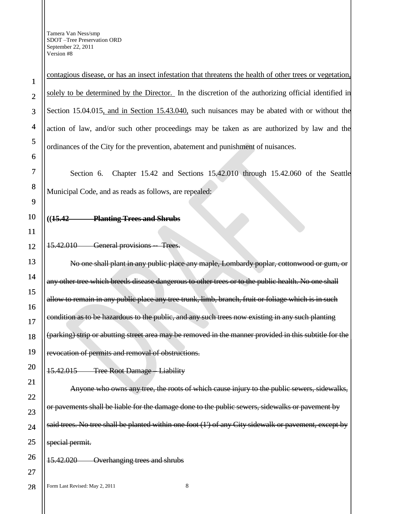28

contagious disease, or has an insect infestation that threatens the health of other trees or vegetation, solely to be determined by the Director. In the discretion of the authorizing official identified in Section 15.04.015, and in Section 15.43.040, such nuisances may be abated with or without the action of law, and/or such other proceedings may be taken as are authorized by law and the ordinances of the City for the prevention, abatement and punishment of nuisances.

Section 6. Chapter 15.42 and Sections 15.42.010 through 15.42.060 of the Seattle Municipal Code, and as reads as follows, are repealed:

## **((15.42 Planting Trees and Shrubs**

#### 15.42.010 General provisions -- Trees.

No one shall plant in any public place any maple, Lombardy poplar, cottonwood or gum, or any other tree which breeds disease dangerous to other trees or to the public health. No one shall allow to remain in any public place any tree trunk, limb, branch, fruit or foliage which is in such condition as to be hazardous to the public, and any such trees now existing in any such planting (parking) strip or abutting street area may be removed in the manner provided in this subtitle for the revocation of permits and removal of obstructions.

#### 15.42.015 Tree Root Damage – Liability

Anyone who owns any tree, the roots of which cause injury to the public sewers, sidewalks, or pavements shall be liable for the damage done to the public sewers, sidewalks or pavement by said trees. No tree shall be planted within one foot (1') of any City sidewalk or pavement, except by special permit.

## 15.42.020 Overhanging trees and shrubs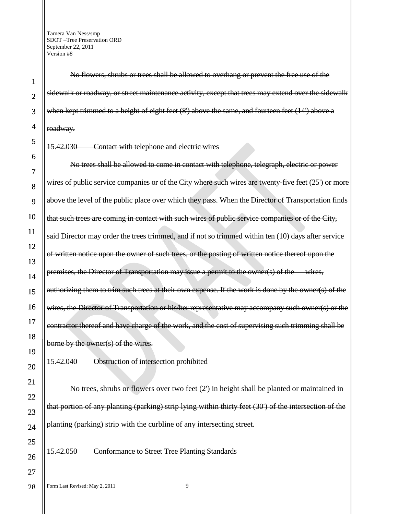28

No flowers, shrubs or trees shall be allowed to overhang or prevent the free use of the sidewalk or roadway, or street maintenance activity, except that trees may extend over the sidewalk when kept trimmed to a height of eight feet (8') above the same, and fourteen feet (14') above a roadway.

15.42.030 Contact with telephone and electric wires

No trees shall be allowed to come in contact with telephone, telegraph, electric or power wires of public service companies or of the City where such wires are twenty-five feet (25') or more above the level of the public place over which they pass. When the Director of Transportation finds that such trees are coming in contact with such wires of public service companies or of the City, said Director may order the trees trimmed, and if not so trimmed within ten (10) days after service of written notice upon the owner of such trees, or the posting of written notice thereof upon the premises, the Director of Transportation may issue a permit to the owner(s) of the wires, authorizing them to trim such trees at their own expense. If the work is done by the owner(s) of the wires, the Director of Transportation or his/her representative may accompany such owner(s) or the contractor thereof and have charge of the work, and the cost of supervising such trimming shall be borne by the owner(s) of the wires.

15.42.040 Obstruction of intersection prohibited

No trees, shrubs or flowers over two feet (2') in height shall be planted or maintained in that portion of any planting (parking) strip lying within thirty feet (30') of the intersection of the planting (parking) strip with the curbline of any intersecting street.

15.42.050 Conformance to Street Tree Planting Standards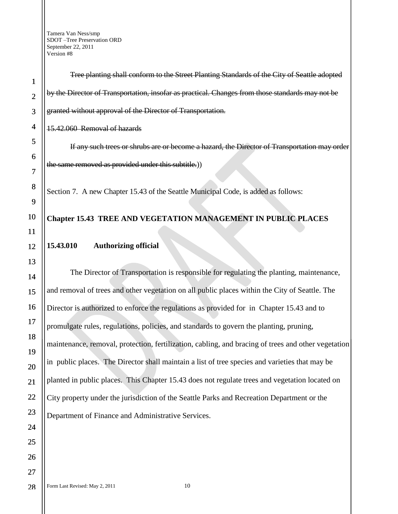Tree planting shall conform to the Street Planting Standards of the City of Seattle adopted by the Director of Transportation, insofar as practical. Changes from those standards may not be granted without approval of the Director of Transportation.

15.42.060 Removal of hazards

If any such trees or shrubs are or become a hazard, the Director of Transportation may order the same removed as provided under this subtitle.))

Section 7. A new Chapter 15.43 of the Seattle Municipal Code, is added as follows:

# **Chapter 15.43 TREE AND VEGETATION MANAGEMENT IN PUBLIC PLACES**

# **15.43.010 Authorizing official**

The Director of Transportation is responsible for regulating the planting, maintenance, and removal of trees and other vegetation on all public places within the City of Seattle. The Director is authorized to enforce the regulations as provided for in Chapter 15.43 and to promulgate rules, regulations, policies, and standards to govern the planting, pruning, maintenance, removal, protection, fertilization, cabling, and bracing of trees and other vegetation in public places. The Director shall maintain a list of tree species and varieties that may be planted in public places. This Chapter 15.43 does not regulate trees and vegetation located on City property under the jurisdiction of the Seattle Parks and Recreation Department or the Department of Finance and Administrative Services.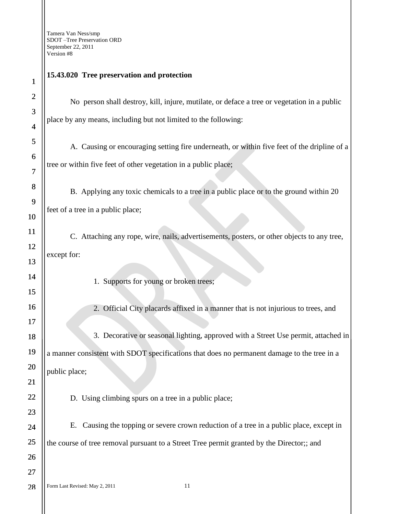| $\mathbf{1}$     | 15.43.020 Tree preservation and protection        |
|------------------|---------------------------------------------------|
| $\boldsymbol{2}$ | No person shall destroy, kill, injure, n          |
| 3                |                                                   |
| $\overline{4}$   | place by any means, including but not limited     |
| 5                | A. Causing or encouraging setting fire            |
| 6                |                                                   |
| $\overline{7}$   | tree or within five feet of other vegetation in a |
| 8                | B. Applying any toxic chemicals to a              |
| 9                |                                                   |
| 10               | feet of a tree in a public place;                 |
| 11               | C. Attaching any rope, wire, nails, adv           |
| 12               |                                                   |
| 13               | except for:                                       |
| 14               | 1. Supports for young or broke                    |
| 15               |                                                   |
| 16               | 2. Official City placards affixe                  |
| 17               |                                                   |
| 18               | 3. Decorative or seasonal light                   |
| 19               | a manner consistent with SDOT specifications      |
| 20               | public place;                                     |
| 21               |                                                   |
| 22               | D. Using climbing spurs on a tree in a            |
| 23               |                                                   |
| 24               | E. Causing the topping or severe croy             |
| 25               | the course of tree removal pursuant to a Street   |
| 26               |                                                   |
| 27               |                                                   |
| 28               | 11<br>Form Last Revised: May 2, 2011              |

#### **15.43.020 Tree preservation and protection**

all destroy, kill, injure, mutilate, or deface a tree or vegetation in a public ncluding but not limited to the following:

encouraging setting fire underneath, or within five feet of the dripline of a t of other vegetation in a public place;

any toxic chemicals to a tree in a public place or to the ground within 20 ic place;

any rope, wire, nails, advertisements, posters, or other objects to any tree,

ports for young or broken trees;

icial City placards affixed in a manner that is not injurious to trees, and

3. becorative or seasonal lighting, approved with a Street Use permit, attached in vith SDOT specifications that does no permanent damage to the tree in a

orthing spurs on a tree in a public place;

e topping or severe crown reduction of a tree in a public place, except in oval pursuant to a Street Tree permit granted by the Director;; and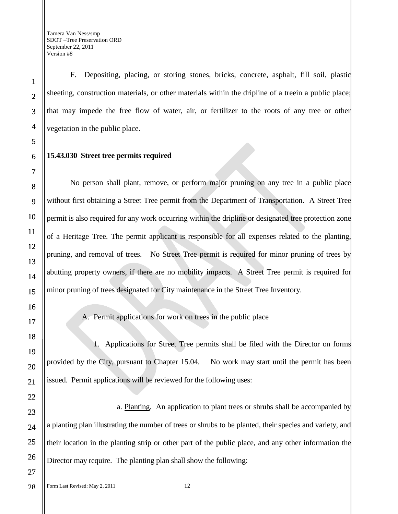F. Depositing, placing, or storing stones, bricks, concrete, asphalt, fill soil, plastic sheeting, construction materials, or other materials within the dripline of a treein a public place; that may impede the free flow of water, air, or fertilizer to the roots of any tree or other vegetation in the public place.

## **15.43.030 Street tree permits required**

No person shall plant, remove, or perform major pruning on any tree in a public place without first obtaining a Street Tree permit from the Department of Transportation. A Street Tree permit is also required for any work occurring within the dripline or designated tree protection zone of a Heritage Tree. The permit applicant is responsible for all expenses related to the planting, pruning, and removal of trees. No Street Tree permit is required for minor pruning of trees by abutting property owners, if there are no mobility impacts. A Street Tree permit is required for minor pruning of trees designated for City maintenance in the Street Tree Inventory.

A. Permit applications for work on trees in the public place

1. Applications for Street Tree permits shall be filed with the Director on forms provided by the City, pursuant to Chapter 15.04. No work may start until the permit has been issued. Permit applications will be reviewed for the following uses:

a. Planting. An application to plant trees or shrubs shall be accompanied by a planting plan illustrating the number of trees or shrubs to be planted, their species and variety, and their location in the planting strip or other part of the public place, and any other information the Director may require. The planting plan shall show the following:

28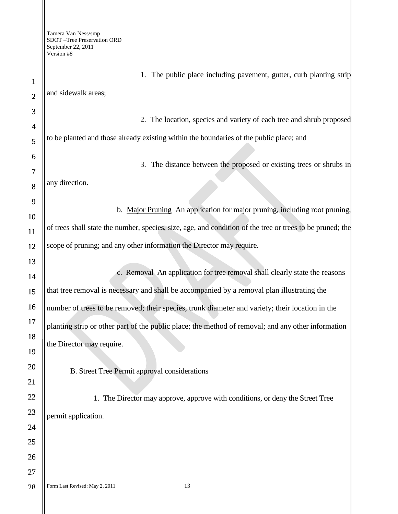1

2

3

6

7

8

9

10

11

12

13

14

15

16

17

18

19

20

21

22

23

24

25

26

27

28

1. The public place including pavement, gutter, curb planting strip and sidewalk areas;

4 5 2. The location, species and variety of each tree and shrub proposed to be planted and those already existing within the boundaries of the public place; and

3. The distance between the proposed or existing trees or shrubs in any direction.

b. Major Pruning An application for major pruning, including root pruning, of trees shall state the number, species, size, age, and condition of the tree or trees to be pruned; the scope of pruning; and any other information the Director may require.

c. Removal An application for tree removal shall clearly state the reasons that tree removal is necessary and shall be accompanied by a removal plan illustrating the number of trees to be removed; their species, trunk diameter and variety; their location in the planting strip or other part of the public place; the method of removal; and any other information the Director may require.

B. Street Tree Permit approval considerations

1. The Director may approve, approve with conditions, or deny the Street Tree permit application.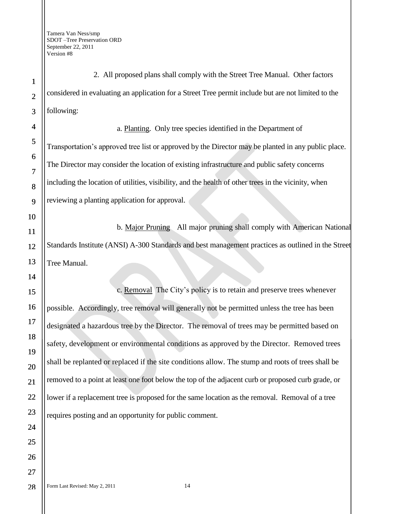1 2 3 4 5 6 7 8 9 10 11 12 13 14 15 16 17 18 19 20 21 22 23 24 25 26 27 2. All proposed plans shall comply with the Street Tree Manual. Other factors considered in evaluating an application for a Street Tree permit include but are not limited to the following: a. Planting. Only tree species identified in the Department of Transportation"s approved tree list or approved by the Director may be planted in any public place. The Director may consider the location of existing infrastructure and public safety concerns including the location of utilities, visibility, and the health of other trees in the vicinity, when reviewing a planting application for approval. b. Major Pruning All major pruning shall comply with American National Standards Institute (ANSI) A-300 Standards and best management practices as outlined in the Street Tree Manual. c. Removal The City"s policy is to retain and preserve trees whenever possible. Accordingly, tree removal will generally not be permitted unless the tree has been designated a hazardous tree by the Director. The removal of trees may be permitted based on safety, development or environmental conditions as approved by the Director. Removed trees shall be replanted or replaced if the site conditions allow. The stump and roots of trees shall be removed to a point at least one foot below the top of the adjacent curb or proposed curb grade, or lower if a replacement tree is proposed for the same location as the removal. Removal of a tree requires posting and an opportunity for public comment.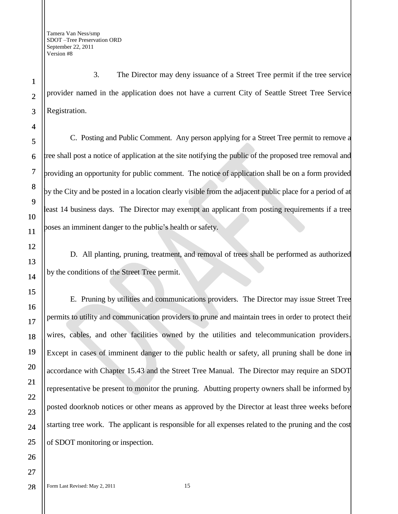3. The Director may deny issuance of a Street Tree permit if the tree service provider named in the application does not have a current City of Seattle Street Tree Service Registration.

C. Posting and Public Comment. Any person applying for a Street Tree permit to remove a tree shall post a notice of application at the site notifying the public of the proposed tree removal and providing an opportunity for public comment. The notice of application shall be on a form provided by the City and be posted in a location clearly visible from the adjacent public place for a period of at least 14 business days. The Director may exempt an applicant from posting requirements if a tree poses an imminent danger to the public"s health or safety.

D. All planting, pruning, treatment, and removal of trees shall be performed as authorized by the conditions of the Street Tree permit.

E. Pruning by utilities and communications providers. The Director may issue Street Tree permits to utility and communication providers to prune and maintain trees in order to protect their wires, cables, and other facilities owned by the utilities and telecommunication providers. Except in cases of imminent danger to the public health or safety, all pruning shall be done in accordance with Chapter 15.43 and the Street Tree Manual. The Director may require an SDOT representative be present to monitor the pruning. Abutting property owners shall be informed by posted doorknob notices or other means as approved by the Director at least three weeks before starting tree work. The applicant is responsible for all expenses related to the pruning and the cost of SDOT monitoring or inspection.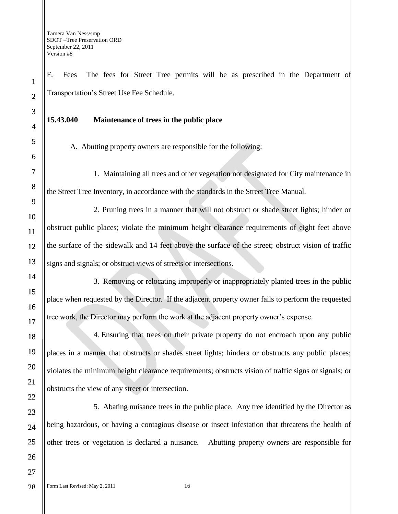F. Fees The fees for Street Tree permits will be as prescribed in the Department of Transportation"s Street Use Fee Schedule.

#### **15.43.040 Maintenance of trees in the public place**

A. Abutting property owners are responsible for the following:

1. Maintaining all trees and other vegetation not designated for City maintenance in the Street Tree Inventory, in accordance with the standards in the Street Tree Manual.

2. Pruning trees in a manner that will not obstruct or shade street lights; hinder or obstruct public places; violate the minimum height clearance requirements of eight feet above the surface of the sidewalk and 14 feet above the surface of the street; obstruct vision of traffic signs and signals; or obstruct views of streets or intersections.

3. Removing or relocating improperly or inappropriately planted trees in the public place when requested by the Director. If the adjacent property owner fails to perform the requested tree work, the Director may perform the work at the adjacent property owner"s expense.

4. Ensuring that trees on their private property do not encroach upon any public places in a manner that obstructs or shades street lights; hinders or obstructs any public places; violates the minimum height clearance requirements; obstructs vision of traffic signs or signals; or obstructs the view of any street or intersection.

5. Abating nuisance trees in the public place. Any tree identified by the Director as being hazardous, or having a contagious disease or insect infestation that threatens the health of other trees or vegetation is declared a nuisance. Abutting property owners are responsible for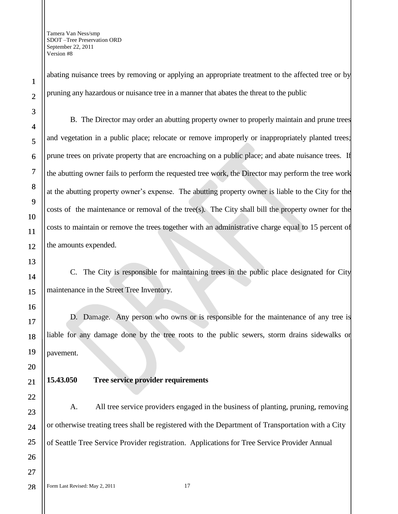abating nuisance trees by removing or applying an appropriate treatment to the affected tree or by pruning any hazardous or nuisance tree in a manner that abates the threat to the public

B. The Director may order an abutting property owner to properly maintain and prune trees and vegetation in a public place; relocate or remove improperly or inappropriately planted trees; prune trees on private property that are encroaching on a public place; and abate nuisance trees. If the abutting owner fails to perform the requested tree work, the Director may perform the tree work at the abutting property owner's expense. The abutting property owner is liable to the City for the costs of the maintenance or removal of the tree(s). The City shall bill the property owner for the costs to maintain or remove the trees together with an administrative charge equal to 15 percent of the amounts expended.

C. The City is responsible for maintaining trees in the public place designated for City maintenance in the Street Tree Inventory.

D. Damage. Any person who owns or is responsible for the maintenance of any tree is liable for any damage done by the tree roots to the public sewers, storm drains sidewalks or pavement.

# **15.43.050 Tree service provider requirements**

A. All tree service providers engaged in the business of planting, pruning, removing or otherwise treating trees shall be registered with the Department of Transportation with a City of Seattle Tree Service Provider registration. Applications for Tree Service Provider Annual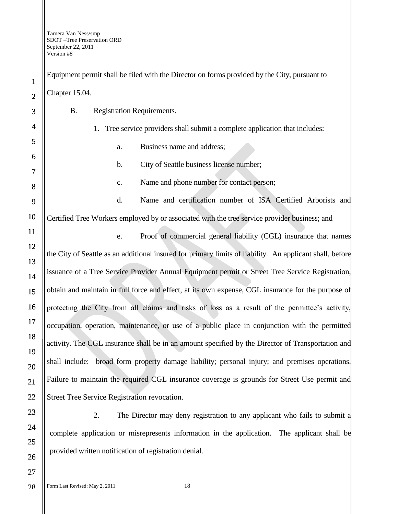| $\mathbf{1}$   | Equipment permit shall be filed with the Director on forms provided by the City, pursuant to      |  |  |  |
|----------------|---------------------------------------------------------------------------------------------------|--|--|--|
| $\overline{2}$ | Chapter 15.04.                                                                                    |  |  |  |
| 3              | <b>Registration Requirements.</b><br><b>B.</b>                                                    |  |  |  |
| 4              | 1. Tree service providers shall submit a complete application that includes:                      |  |  |  |
| 5              | Business name and address;<br>a.                                                                  |  |  |  |
| 6              | City of Seattle business license number;<br>b.                                                    |  |  |  |
| 7              | Name and phone number for contact person;<br>c.                                                   |  |  |  |
| 8              |                                                                                                   |  |  |  |
| 9              | Name and certification number of ISA Certified Arboris<br>d.                                      |  |  |  |
| 10             | Certified Tree Workers employed by or associated with the tree service provider business; an      |  |  |  |
| 11             | Proof of commercial general liability (CGL) insurance that<br>e.                                  |  |  |  |
| 12             | the City of Seattle as an additional insured for primary limits of liability. An applicant shall, |  |  |  |
| 13             | issuance of a Tree Service Provider Annual Equipment permit or Street Tree Service Regis          |  |  |  |
| 14<br>15       | obtain and maintain in full force and effect, at its own expense, CGL insurance for the pur       |  |  |  |
| 16             | protecting the City from all claims and risks of loss as a result of the permittee's a            |  |  |  |
| 17             |                                                                                                   |  |  |  |
| 18             | occupation, operation, maintenance, or use of a public place in conjunction with the pe           |  |  |  |
| 19             | activity. The CGL insurance shall be in an amount specified by the Director of Transportati       |  |  |  |
| 20             | shall include: broad form property damage liability; personal injury; and premises ope            |  |  |  |
| 21             | Failure to maintain the required CGL insurance coverage is grounds for Street Use perr            |  |  |  |
| 22             | Street Tree Service Registration revocation.                                                      |  |  |  |
| 23             | 2.<br>The Director may deny registration to any applicant who fails to sul                        |  |  |  |
| 24             | complete application or misrepresents information in the application. The applicant s             |  |  |  |
| 25             |                                                                                                   |  |  |  |
| 26             | provided written notification of registration denial.                                             |  |  |  |
| 27             |                                                                                                   |  |  |  |
| 28             | 18<br>Form Last Revised: May 2, 2011                                                              |  |  |  |

Business name and address; b. City of Seattle business license number; Name and phone number for contact person; Name and certification number of ISA Certified Arborists and loyed by or associated with the tree service provider business; and Proof of commercial general liability (CGL) insurance that names itional insured for primary limits of liability. An applicant shall, before Provider Annual Equipment permit or Street Tree Service Registration, force and effect, at its own expense, CGL insurance for the purpose of all claims and risks of loss as a result of the permittee's activity, ntenance, or use of a public place in conjunction with the permitted e shall be in an amount specified by the Director of Transportation and

property damage liability; personal injury; and premises operations. uired CGL insurance coverage is grounds for Street Use permit and ation revocation.

Director may deny registration to any applicant who fails to submit a is is information in the application. The applicant shall be n of registration denial.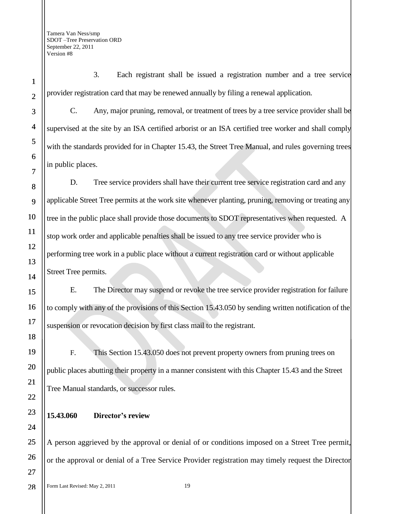1

2

3

4

5

6

7

8

9

10

11

12

13

14

15

16

17

18

19

20

21

22

23

24

25

26

27

3. Each registrant shall be issued a registration number and a tree service provider registration card that may be renewed annually by filing a renewal application.

C. Any, major pruning, removal, or treatment of trees by a tree service provider shall be supervised at the site by an ISA certified arborist or an ISA certified tree worker and shall comply with the standards provided for in Chapter 15.43, the Street Tree Manual, and rules governing trees in public places.

D. Tree service providers shall have their current tree service registration card and any applicable Street Tree permits at the work site whenever planting, pruning, removing or treating any tree in the public place shall provide those documents to SDOT representatives when requested. A stop work order and applicable penalties shall be issued to any tree service provider who is performing tree work in a public place without a current registration card or without applicable Street Tree permits.

E. The Director may suspend or revoke the tree service provider registration for failure to comply with any of the provisions of this Section 15.43.050 by sending written notification of the suspension or revocation decision by first class mail to the registrant.

F. This Section 15.43.050 does not prevent property owners from pruning trees on public places abutting their property in a manner consistent with this Chapter 15.43 and the Street Tree Manual standards, or successor rules.

# **15.43.060 Director's review**

A person aggrieved by the approval or denial of or conditions imposed on a Street Tree permit, or the approval or denial of a Tree Service Provider registration may timely request the Director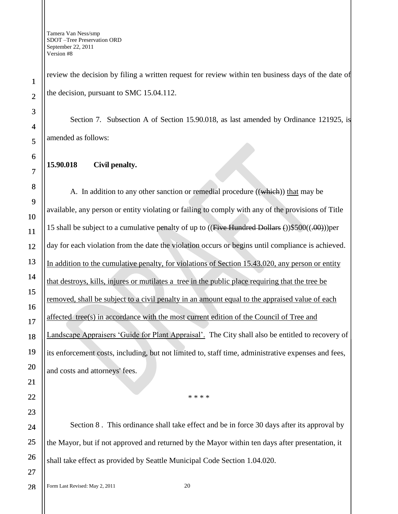review the decision by filing a written request for review within ten business days of the date of the decision, pursuant to SMC 15.04.112.

Section 7. Subsection A of Section 15.90.018, as last amended by Ordinance 121925, is amended as follows:

# **15.90.018 Civil penalty.**

A. In addition to any other sanction or remedial procedure ((which)) that may be available, any person or entity violating or failing to comply with any of the provisions of Title 15 shall be subject to a cumulative penalty of up to ((Five Hundred Dollars ())\$500((.00)))per day for each violation from the date the violation occurs or begins until compliance is achieved. In addition to the cumulative penalty, for violations of Section 15.43.020, any person or entity that destroys, kills, injures or mutilates a tree in the public place requiring that the tree be removed, shall be subject to a civil penalty in an amount equal to the appraised value of each affected tree(s) in accordance with the most current edition of the Council of Tree and Landscape Appraisers "Guide for Plant Appraisal". The City shall also be entitled to recovery of its enforcement costs, including, but not limited to, staff time, administrative expenses and fees, and costs and attorneys' fees.

\* \* \* \*

Section 8 . This ordinance shall take effect and be in force 30 days after its approval by the Mayor, but if not approved and returned by the Mayor within ten days after presentation, it shall take effect as provided by Seattle Municipal Code Section 1.04.020.